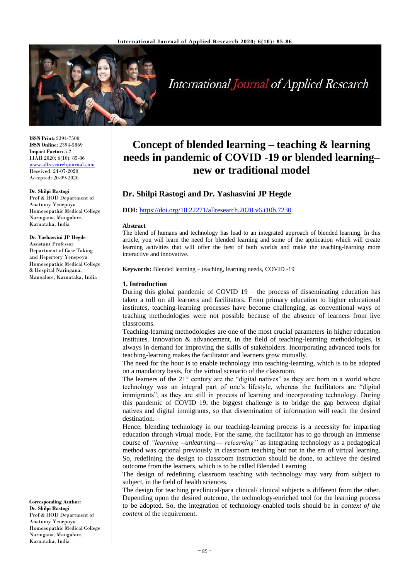

# **International Journal of Applied Research**

**ISSN Print:** 2394-7500 **ISSN Online:** 2394-5869 **Impact Factor:** 5.2 IJAR 2020; 6(10): 85-86 <www.allresearchjournal.com> Received: 24-07-2020 Accepted: 20-09-2020

#### **Dr. Shilpi Rastogi**

Prof & HOD Department of Anatomy Yenepoya Homoeopathic Medical College Naringana, Mangalore, Karnataka, India

#### **Dr. Yashasvini JP Hegde**

Assistant Professor Department of Case Taking and Repertory Yenepoya Homoeopathic Medical College & Hospital Naringana, Mangalore, Karnataka, India

**Corresponding Author: Dr. Shilpi Rastogi** Prof & HOD Department of Anatomy Yenepoya Homoeopathic Medical College Naringana, Mangalore, Karnataka, India

# **Concept of blended learning – teaching & learning needs in pandemic of COVID -19 or blended learning– new or traditional model**

# **Dr. Shilpi Rastogi and Dr. Yashasvini JP Hegde**

#### **DOI:** <https://doi.org/10.22271/allresearch.2020.v6.i10b.7230>

#### **Abstract**

The blend of humans and technology has lead to an integrated approach of blended learning. In this article, you will learn the need for blended learning and some of the application which will create learning activities that will offer the best of both worlds and make the teaching-learning more interactive and innovative.

**Keywords:** Blended learning – teaching, learning needs, COVID -19

#### **1. Introduction**

During this global pandemic of COVID 19 – the process of disseminating education has taken a toll on all learners and facilitators. From primary education to higher educational institutes, teaching-learning processes have become challenging, as conventional ways of teaching methodologies were not possible because of the absence of learners from live classrooms.

Teaching-learning methodologies are one of the most crucial parameters in higher education institutes. Innovation & advancement, in the field of teaching-learning methodologies, is always in demand for improving the skills of stakeholders. Incorporating advanced tools for teaching-learning makes the facilitator and learners grow mutually.

The need for the hour is to enable technology into teaching-learning, which is to be adopted on a mandatory basis, for the virtual scenario of the classroom.

The learners of the  $21<sup>st</sup>$  century are the "digital natives" as they are born in a world where technology was an integral part of one's lifestyle, whereas the facilitators are "digital immigrants", as they are still in process of learning and incorporating technology. During this pandemic of COVID 19, the biggest challenge is to bridge the gap between digital natives and digital immigrants, so that dissemination of information will reach the desired destination.

Hence, blending technology in our teaching-learning process is a necessity for imparting education through virtual mode. For the same, the facilitator has to go through an immense course of *"learning --unlearning--- relearning"* as integrating technology as a pedagogical method was optional previously in classroom teaching but not in the era of virtual learning. So, redefining the design to classroom instruction should be done, to achieve the desired outcome from the learners, which is to be called Blended Learning.

The design of redefining classroom teaching with technology may vary from subject to subject, in the field of health sciences.

The design for teaching preclinical/para clinical/ clinical subjects is different from the other. Depending upon the desired outcome, the technology-enriched tool for the learning process to be adopted. So, the integration of technology-enabled tools should be in *context of the content* of the requirement.